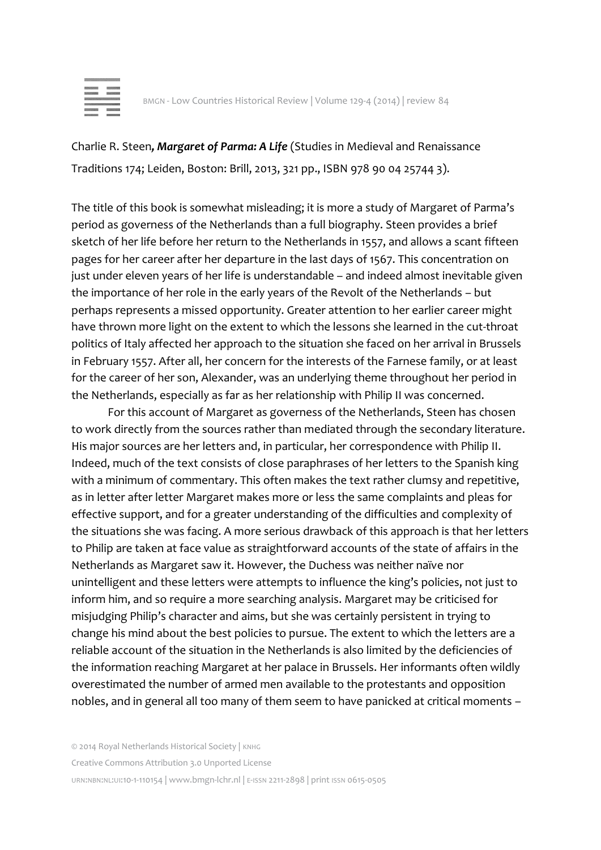| ٠ |
|---|
|   |
|   |
|   |

Charlie R. Steen*, Margaret of Parma: A Life* (Studies in Medieval and Renaissance Traditions 174; Leiden, Boston: Brill, 2013, 321 pp., ISBN 978 90 04 25744 3).

The title of this book is somewhat misleading; it is more a study of Margaret of Parma's period as governess of the Netherlands than a full biography. Steen provides a brief sketch of her life before her return to the Netherlands in 1557, and allows a scant fifteen pages for her career after her departure in the last days of 1567. This concentration on just under eleven years of her life is understandable – and indeed almost inevitable given the importance of her role in the early years of the Revolt of the Netherlands – but perhaps represents a missed opportunity. Greater attention to her earlier career might have thrown more light on the extent to which the lessons she learned in the cut-throat politics of Italy affected her approach to the situation she faced on her arrival in Brussels in February 1557. After all, her concern for the interests of the Farnese family, or at least for the career of her son, Alexander, was an underlying theme throughout her period in the Netherlands, especially as far as her relationship with Philip II was concerned.

For this account of Margaret as governess of the Netherlands, Steen has chosen to work directly from the sources rather than mediated through the secondary literature. His major sources are her letters and, in particular, her correspondence with Philip II. Indeed, much of the text consists of close paraphrases of her letters to the Spanish king with a minimum of commentary. This often makes the text rather clumsy and repetitive, as in letter after letter Margaret makes more or less the same complaints and pleas for effective support, and for a greater understanding of the difficulties and complexity of the situations she was facing. A more serious drawback of this approach is that her letters to Philip are taken at face value as straightforward accounts of the state of affairs in the Netherlands as Margaret saw it. However, the Duchess was neither naïve nor unintelligent and these letters were attempts to influence the king's policies, not just to inform him, and so require a more searching analysis. Margaret may be criticised for misjudging Philip's character and aims, but she was certainly persistent in trying to change his mind about the best policies to pursue. The extent to which the letters are a reliable account of the situation in the Netherlands is also limited by the deficiencies of the information reaching Margaret at her palace in Brussels. Her informants often wildly overestimated the number of armed men available to the protestants and opposition nobles, and in general all too many of them seem to have panicked at critical moments –